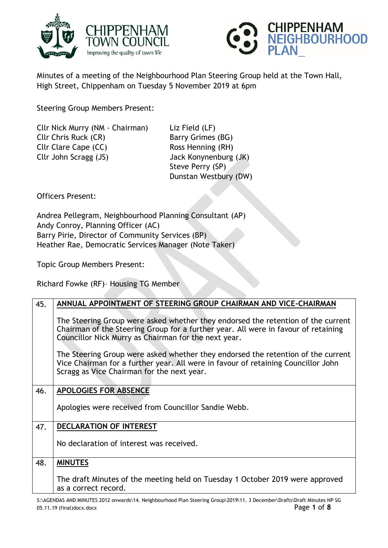



Minutes of a meeting of the Neighbourhood Plan Steering Group held at the Town Hall, High Street, Chippenham on Tuesday 5 November 2019 at 6pm

Steering Group Members Present:

Cllr Nick Murry (NM - Chairman) Liz Field (LF) Cllr Chris Ruck (CR) Barry Grimes (BG) Cllr Clare Cape (CC) Ross Henning (RH) Cllr John Scragg (JS) Jack Konynenburg (JK)

Steve Perry (SP) Dunstan Westbury (DW)

Officers Present:

Andrea Pellegram, Neighbourhood Planning Consultant (AP) Andy Conroy, Planning Officer (AC) Barry Pirie, Director of Community Services (BP) Heather Rae, Democratic Services Manager (Note Taker)

Topic Group Members Present:

Richard Fowke (RF)– Housing TG Member

| 45. | ANNUAL APPOINTMENT OF STEERING GROUP CHAIRMAN AND VICE-CHAIRMAN                                                                                                                                                                |
|-----|--------------------------------------------------------------------------------------------------------------------------------------------------------------------------------------------------------------------------------|
|     | The Steering Group were asked whether they endorsed the retention of the current<br>Chairman of the Steering Group for a further year. All were in favour of retaining<br>Councillor Nick Murry as Chairman for the next year. |
|     | The Steering Group were asked whether they endorsed the retention of the current<br>Vice Chairman for a further year. All were in favour of retaining Councillor John<br>Scragg as Vice Chairman for the next year.            |
| 46. | <b>APOLOGIES FOR ABSENCE</b>                                                                                                                                                                                                   |
|     | Apologies were received from Councillor Sandie Webb.                                                                                                                                                                           |
| 47. | <b>DECLARATION OF INTEREST</b>                                                                                                                                                                                                 |
|     | No declaration of interest was received.                                                                                                                                                                                       |
| 48. | <b>MINUTES</b>                                                                                                                                                                                                                 |
|     | The draft Minutes of the meeting held on Tuesday 1 October 2019 were approved<br>as a correct record.                                                                                                                          |

S:\AGENDAS AND MINUTES 2012 onwards\14. Neighbourhood Plan Steering Group\2019\11. 3 December\Drafts\Draft Minutes NP SG 05.11.19 (final)docx.docx Page **1** of **8**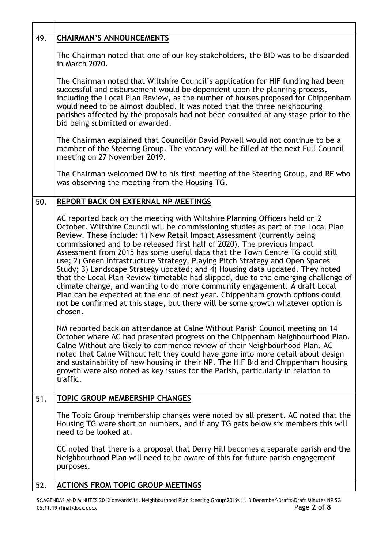| 49. | <b>CHAIRMAN'S ANNOUNCEMENTS</b>                                                                                                                                                                                                                                                                                                                                                                                                                                                                                                                                                                                                                                                                                                                                                                                                                                                                                                |
|-----|--------------------------------------------------------------------------------------------------------------------------------------------------------------------------------------------------------------------------------------------------------------------------------------------------------------------------------------------------------------------------------------------------------------------------------------------------------------------------------------------------------------------------------------------------------------------------------------------------------------------------------------------------------------------------------------------------------------------------------------------------------------------------------------------------------------------------------------------------------------------------------------------------------------------------------|
|     | The Chairman noted that one of our key stakeholders, the BID was to be disbanded<br>in March 2020.                                                                                                                                                                                                                                                                                                                                                                                                                                                                                                                                                                                                                                                                                                                                                                                                                             |
|     | The Chairman noted that Wiltshire Council's application for HIF funding had been<br>successful and disbursement would be dependent upon the planning process,<br>including the Local Plan Review, as the number of houses proposed for Chippenham<br>would need to be almost doubled. It was noted that the three neighbouring<br>parishes affected by the proposals had not been consulted at any stage prior to the<br>bid being submitted or awarded.                                                                                                                                                                                                                                                                                                                                                                                                                                                                       |
|     | The Chairman explained that Councillor David Powell would not continue to be a<br>member of the Steering Group. The vacancy will be filled at the next Full Council<br>meeting on 27 November 2019.                                                                                                                                                                                                                                                                                                                                                                                                                                                                                                                                                                                                                                                                                                                            |
|     | The Chairman welcomed DW to his first meeting of the Steering Group, and RF who<br>was observing the meeting from the Housing TG.                                                                                                                                                                                                                                                                                                                                                                                                                                                                                                                                                                                                                                                                                                                                                                                              |
| 50. | REPORT BACK ON EXTERNAL NP MEETINGS                                                                                                                                                                                                                                                                                                                                                                                                                                                                                                                                                                                                                                                                                                                                                                                                                                                                                            |
|     | AC reported back on the meeting with Wiltshire Planning Officers held on 2<br>October. Wiltshire Council will be commissioning studies as part of the Local Plan<br>Review. These include: 1) New Retail Impact Assessment (currently being<br>commissioned and to be released first half of 2020). The previous Impact<br>Assessment from 2015 has some useful data that the Town Centre TG could still<br>use; 2) Green Infrastructure Strategy, Playing Pitch Strategy and Open Spaces<br>Study; 3) Landscape Strategy updated; and 4) Housing data updated. They noted<br>that the Local Plan Review timetable had slipped, due to the emerging challenge of<br>climate change, and wanting to do more community engagement. A draft Local<br>Plan can be expected at the end of next year. Chippenham growth options could<br>not be confirmed at this stage, but there will be some growth whatever option is<br>chosen. |
|     | NM reported back on attendance at Calne Without Parish Council meeting on 14<br>October where AC had presented progress on the Chippenham Neighbourhood Plan.<br>Calne Without are likely to commence review of their Neighbourhood Plan. AC<br>noted that Calne Without felt they could have gone into more detail about design<br>and sustainability of new housing in their NP. The HIF Bid and Chippenham housing<br>growth were also noted as key issues for the Parish, particularly in relation to<br>traffic.                                                                                                                                                                                                                                                                                                                                                                                                          |
| 51. | TOPIC GROUP MEMBERSHIP CHANGES                                                                                                                                                                                                                                                                                                                                                                                                                                                                                                                                                                                                                                                                                                                                                                                                                                                                                                 |
|     | The Topic Group membership changes were noted by all present. AC noted that the<br>Housing TG were short on numbers, and if any TG gets below six members this will<br>need to be looked at.                                                                                                                                                                                                                                                                                                                                                                                                                                                                                                                                                                                                                                                                                                                                   |
|     | CC noted that there is a proposal that Derry Hill becomes a separate parish and the<br>Neighbourhood Plan will need to be aware of this for future parish engagement<br>purposes.                                                                                                                                                                                                                                                                                                                                                                                                                                                                                                                                                                                                                                                                                                                                              |
| 52. | <b>ACTIONS FROM TOPIC GROUP MEETINGS</b>                                                                                                                                                                                                                                                                                                                                                                                                                                                                                                                                                                                                                                                                                                                                                                                                                                                                                       |

 $\mathsf T$ 

S:\AGENDAS AND MINUTES 2012 onwards\14. Neighbourhood Plan Steering Group\2019\11. 3 December\Drafts\Draft Minutes NP SG 05.11.19 (final)docx.docx **Page 2 of 8** 05.11.19 (final)docx.docx Page **2** of **8**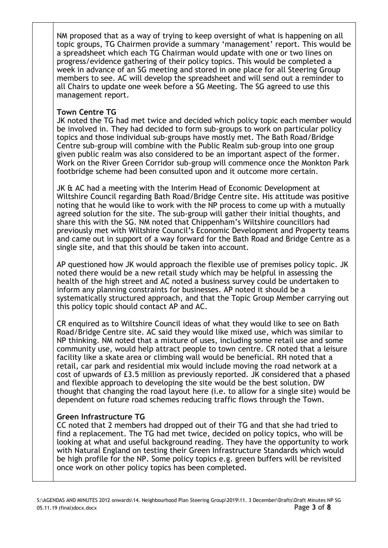NM proposed that as a way of trying to keep oversight of what is happening on all topic groups, TG Chairmen provide a summary 'management' report. This would be a spreadsheet which each TG Chairman would update with one or two lines on progress/evidence gathering of their policy topics. This would be completed a week in advance of an SG meeting and stored in one place for all Steering Group members to see. AC will develop the spreadsheet and will send out a reminder to all Chairs to update one week before a SG Meeting. The SG agreed to use this management report.

## **Town Centre TG**

JK noted the TG had met twice and decided which policy topic each member would be involved in. They had decided to form sub-groups to work on particular policy topics and those individual sub-groups have mostly met. The Bath Road/Bridge Centre sub-group will combine with the Public Realm sub-group into one group given public realm was also considered to be an important aspect of the former. Work on the River Green Corridor sub-group will commence once the Monkton Park footbridge scheme had been consulted upon and it outcome more certain.

JK & AC had a meeting with the Interim Head of Economic Development at Wiltshire Council regarding Bath Road/Bridge Centre site. His attitude was positive noting that he would like to work with the NP process to come up with a mutually agreed solution for the site. The sub-group will gather their initial thoughts, and share this with the SG. NM noted that Chippenham's Wiltshire councillors had previously met with Wiltshire Council's Economic Development and Property teams and came out in support of a way forward for the Bath Road and Bridge Centre as a single site, and that this should be taken into account.

AP questioned how JK would approach the flexible use of premises policy topic. JK noted there would be a new retail study which may be helpful in assessing the health of the high street and AC noted a business survey could be undertaken to inform any planning constraints for businesses. AP noted it should be a systematically structured approach, and that the Topic Group Member carrying out this policy topic should contact AP and AC.

CR enquired as to Wiltshire Council ideas of what they would like to see on Bath Road/Bridge Centre site. AC said they would like mixed use, which was similar to NP thinking. NM noted that a mixture of uses, including some retail use and some community use, would help attract people to town centre. CR noted that a leisure facility like a skate area or climbing wall would be beneficial. RH noted that a retail, car park and residential mix would include moving the road network at a cost of upwards of £3.5 million as previously reported. JK considered that a phased and flexible approach to developing the site would be the best solution. DW thought that changing the road layout here (i.e. to allow for a single site) would be dependent on future road schemes reducing traffic flows through the Town.

#### **Green Infrastructure TG**

CC noted that 2 members had dropped out of their TG and that she had tried to find a replacement. The TG had met twice, decided on policy topics, who will be looking at what and useful background reading. They have the opportunity to work with Natural England on testing their Green Infrastructure Standards which would be high profile for the NP. Some policy topics e.g. green buffers will be revisited once work on other policy topics has been completed.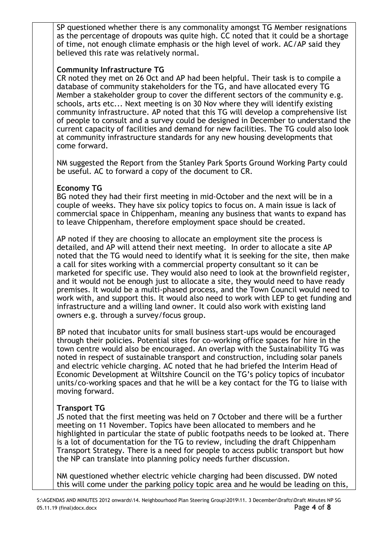SP questioned whether there is any commonality amongst TG Member resignations as the percentage of dropouts was quite high. CC noted that it could be a shortage of time, not enough climate emphasis or the high level of work. AC/AP said they believed this rate was relatively normal.

## **Community Infrastructure TG**

CR noted they met on 26 Oct and AP had been helpful. Their task is to compile a database of community stakeholders for the TG, and have allocated every TG Member a stakeholder group to cover the different sectors of the community e.g. schools, arts etc... Next meeting is on 30 Nov where they will identify existing community infrastructure. AP noted that this TG will develop a comprehensive list of people to consult and a survey could be designed in December to understand the current capacity of facilities and demand for new facilities. The TG could also look at community infrastructure standards for any new housing developments that come forward.

NM suggested the Report from the Stanley Park Sports Ground Working Party could be useful. AC to forward a copy of the document to CR.

# **Economy TG**

BG noted they had their first meeting in mid-October and the next will be in a couple of weeks. They have six policy topics to focus on. A main issue is lack of commercial space in Chippenham, meaning any business that wants to expand has to leave Chippenham, therefore employment space should be created.

AP noted if they are choosing to allocate an employment site the process is detailed, and AP will attend their next meeting. In order to allocate a site AP noted that the TG would need to identify what it is seeking for the site, then make a call for sites working with a commercial property consultant so it can be marketed for specific use. They would also need to look at the brownfield register, and it would not be enough just to allocate a site, they would need to have ready premises. It would be a multi-phased process, and the Town Council would need to work with, and support this. It would also need to work with LEP to get funding and infrastructure and a willing land owner. It could also work with existing land owners e.g. through a survey/focus group.

BP noted that incubator units for small business start-ups would be encouraged through their policies. Potential sites for co-working office spaces for hire in the town centre would also be encouraged. An overlap with the Sustainability TG was noted in respect of sustainable transport and construction, including solar panels and electric vehicle charging. AC noted that he had briefed the Interim Head of Economic Development at Wiltshire Council on the TG's policy topics of incubator units/co-working spaces and that he will be a key contact for the TG to liaise with moving forward.

#### **Transport TG**

JS noted that the first meeting was held on 7 October and there will be a further meeting on 11 November. Topics have been allocated to members and he highlighted in particular the state of public footpaths needs to be looked at. There is a lot of documentation for the TG to review, including the draft Chippenham Transport Strategy. There is a need for people to access public transport but how the NP can translate into planning policy needs further discussion.

NM questioned whether electric vehicle charging had been discussed. DW noted this will come under the parking policy topic area and he would be leading on this,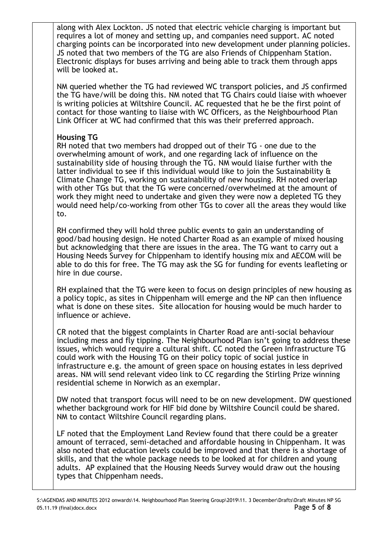along with Alex Lockton. JS noted that electric vehicle charging is important but requires a lot of money and setting up, and companies need support. AC noted charging points can be incorporated into new development under planning policies. JS noted that two members of the TG are also Friends of Chippenham Station. Electronic displays for buses arriving and being able to track them through apps will be looked at.

NM queried whether the TG had reviewed WC transport policies, and JS confirmed the TG have/will be doing this. NM noted that TG Chairs could liaise with whoever is writing policies at Wiltshire Council. AC requested that he be the first point of contact for those wanting to liaise with WC Officers, as the Neighbourhood Plan Link Officer at WC had confirmed that this was their preferred approach.

# **Housing TG**

RH noted that two members had dropped out of their TG - one due to the overwhelming amount of work, and one regarding lack of influence on the sustainability side of housing through the TG. NM would liaise further with the latter individual to see if this individual would like to join the Sustainability & Climate Change TG, working on sustainability of new housing. RH noted overlap with other TGs but that the TG were concerned/overwhelmed at the amount of work they might need to undertake and given they were now a depleted TG they would need help/co-working from other TGs to cover all the areas they would like to.

RH confirmed they will hold three public events to gain an understanding of good/bad housing design. He noted Charter Road as an example of mixed housing but acknowledging that there are issues in the area. The TG want to carry out a Housing Needs Survey for Chippenham to identify housing mix and AECOM will be able to do this for free. The TG may ask the SG for funding for events leafleting or hire in due course.

RH explained that the TG were keen to focus on design principles of new housing as a policy topic, as sites in Chippenham will emerge and the NP can then influence what is done on these sites. Site allocation for housing would be much harder to influence or achieve.

CR noted that the biggest complaints in Charter Road are anti-social behaviour including mess and fly tipping. The Neighbourhood Plan isn't going to address these issues, which would require a cultural shift. CC noted the Green Infrastructure TG could work with the Housing TG on their policy topic of social justice in infrastructure e.g. the amount of green space on housing estates in less deprived areas. NM will send relevant video link to CC regarding the Stirling Prize winning residential scheme in Norwich as an exemplar.

DW noted that transport focus will need to be on new development. DW questioned whether background work for HIF bid done by Wiltshire Council could be shared. NM to contact Wiltshire Council regarding plans.

LF noted that the Employment Land Review found that there could be a greater amount of terraced, semi-detached and affordable housing in Chippenham. It was also noted that education levels could be improved and that there is a shortage of skills, and that the whole package needs to be looked at for children and young adults. AP explained that the Housing Needs Survey would draw out the housing types that Chippenham needs.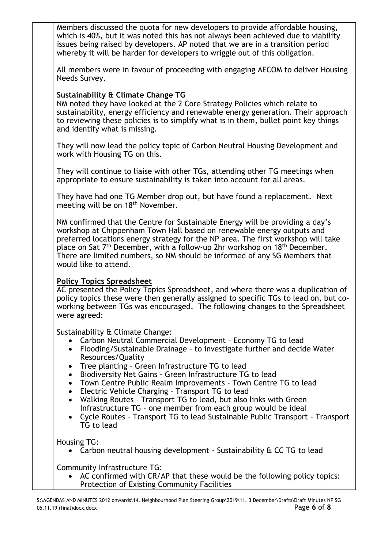Members discussed the quota for new developers to provide affordable housing, which is 40%, but it was noted this has not always been achieved due to viability issues being raised by developers. AP noted that we are in a transition period whereby it will be harder for developers to wriggle out of this obligation.

All members were in favour of proceeding with engaging AECOM to deliver Housing Needs Survey.

## **Sustainability & Climate Change TG**

NM noted they have looked at the 2 Core Strategy Policies which relate to sustainability, energy efficiency and renewable energy generation. Their approach to reviewing these policies is to simplify what is in them, bullet point key things and identify what is missing.

They will now lead the policy topic of Carbon Neutral Housing Development and work with Housing TG on this.

They will continue to liaise with other TGs, attending other TG meetings when appropriate to ensure sustainability is taken into account for all areas.

They have had one TG Member drop out, but have found a replacement. Next meeting will be on 18<sup>th</sup> November.

NM confirmed that the Centre for Sustainable Energy will be providing a day's workshop at Chippenham Town Hall based on renewable energy outputs and preferred locations energy strategy for the NP area. The first workshop will take place on Sat  $7<sup>th</sup>$  December, with a follow-up 2hr workshop on 18<sup>th</sup> December. There are limited numbers, so NM should be informed of any SG Members that would like to attend.

#### **Policy Topics Spreadsheet**

AC presented the Policy Topics Spreadsheet, and where there was a duplication of policy topics these were then generally assigned to specific TGs to lead on, but coworking between TGs was encouraged. The following changes to the Spreadsheet were agreed:

Sustainability & Climate Change:

- Carbon Neutral Commercial Development Economy TG to lead
- Flooding/Sustainable Drainage to investigate further and decide Water Resources/Quality
- Tree planting Green Infrastructure TG to lead
- Biodiversity Net Gains Green Infrastructure TG to lead
- Town Centre Public Realm Improvements Town Centre TG to lead
- Electric Vehicle Charging Transport TG to lead
- Walking Routes Transport TG to lead, but also links with Green Infrastructure TG – one member from each group would be ideal
- Cycle Routes Transport TG to lead Sustainable Public Transport Transport TG to lead

Housing TG:

• Carbon neutral housing development - Sustainability & CC TG to lead

Community Infrastructure TG:

 AC confirmed with CR/AP that these would be the following policy topics: Protection of Existing Community Facilities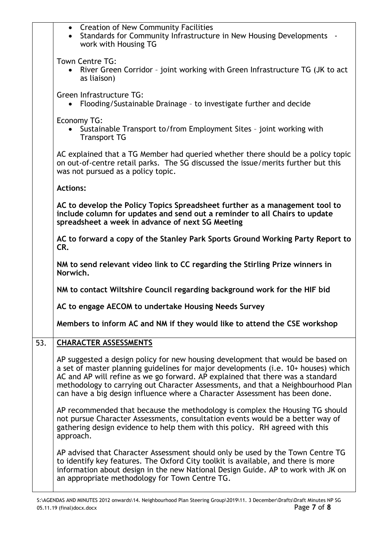|     | • Creation of New Community Facilities<br>• Standards for Community Infrastructure in New Housing Developments -<br>work with Housing TG                                                                                                                                                                                                                                                                                   |
|-----|----------------------------------------------------------------------------------------------------------------------------------------------------------------------------------------------------------------------------------------------------------------------------------------------------------------------------------------------------------------------------------------------------------------------------|
|     | Town Centre TG:<br>River Green Corridor - joint working with Green Infrastructure TG (JK to act<br>as liaison)                                                                                                                                                                                                                                                                                                             |
|     | Green Infrastructure TG:<br>Flooding/Sustainable Drainage - to investigate further and decide                                                                                                                                                                                                                                                                                                                              |
|     | Economy TG:<br>Sustainable Transport to/from Employment Sites - joint working with<br><b>Transport TG</b>                                                                                                                                                                                                                                                                                                                  |
|     | AC explained that a TG Member had queried whether there should be a policy topic<br>on out-of-centre retail parks. The SG discussed the issue/merits further but this<br>was not pursued as a policy topic.                                                                                                                                                                                                                |
|     | <b>Actions:</b>                                                                                                                                                                                                                                                                                                                                                                                                            |
|     | AC to develop the Policy Topics Spreadsheet further as a management tool to<br>include column for updates and send out a reminder to all Chairs to update<br>spreadsheet a week in advance of next SG Meeting                                                                                                                                                                                                              |
|     | AC to forward a copy of the Stanley Park Sports Ground Working Party Report to<br>CR.                                                                                                                                                                                                                                                                                                                                      |
|     | NM to send relevant video link to CC regarding the Stirling Prize winners in<br>Norwich.                                                                                                                                                                                                                                                                                                                                   |
|     | NM to contact Wiltshire Council regarding background work for the HIF bid                                                                                                                                                                                                                                                                                                                                                  |
|     |                                                                                                                                                                                                                                                                                                                                                                                                                            |
|     | AC to engage AECOM to undertake Housing Needs Survey                                                                                                                                                                                                                                                                                                                                                                       |
|     | Members to inform AC and NM if they would like to attend the CSE workshop                                                                                                                                                                                                                                                                                                                                                  |
| 53. | <b>CHARACTER ASSESSMENTS</b>                                                                                                                                                                                                                                                                                                                                                                                               |
|     | AP suggested a design policy for new housing development that would be based on<br>a set of master planning guidelines for major developments (i.e. 10+ houses) which<br>AC and AP will refine as we go forward. AP explained that there was a standard<br>methodology to carrying out Character Assessments, and that a Neighbourhood Plan<br>can have a big design influence where a Character Assessment has been done. |
|     | AP recommended that because the methodology is complex the Housing TG should<br>not pursue Character Assessments, consultation events would be a better way of<br>gathering design evidence to help them with this policy. RH agreed with this<br>approach.                                                                                                                                                                |

 $\mathsf{r}$